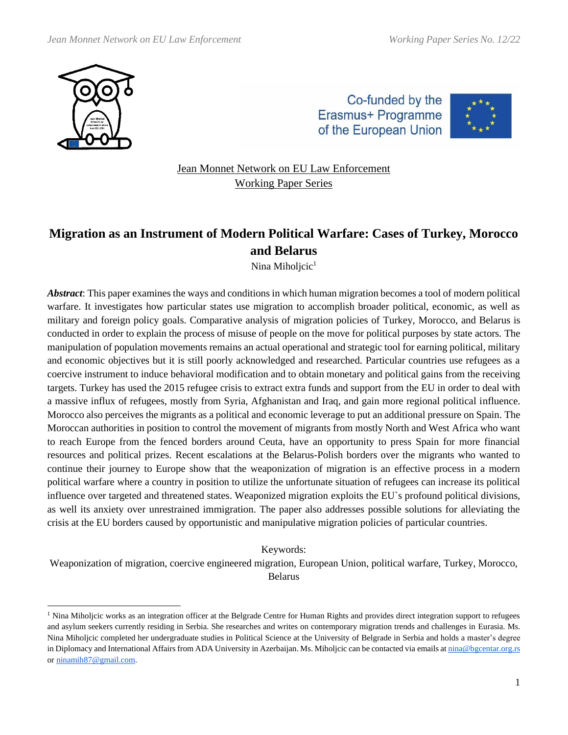





Jean Monnet Network on EU Law Enforcement Working Paper Series

# **Migration as an Instrument of Modern Political Warfare: Cases of Turkey, Morocco and Belarus**

Nina Miholjcic<sup>1</sup>

*Abstract*: This paper examines the ways and conditions in which human migration becomes a tool of modern political warfare. It investigates how particular states use migration to accomplish broader political, economic, as well as military and foreign policy goals. Comparative analysis of migration policies of Turkey, Morocco, and Belarus is conducted in order to explain the process of misuse of people on the move for political purposes by state actors. The manipulation of population movements remains an actual operational and strategic tool for earning political, military and economic objectives but it is still poorly acknowledged and researched. Particular countries use refugees as a coercive instrument to induce behavioral modification and to obtain monetary and political gains from the receiving targets. Turkey has used the 2015 refugee crisis to extract extra funds and support from the EU in order to deal with a massive influx of refugees, mostly from Syria, Afghanistan and Iraq, and gain more regional political influence. Morocco also perceives the migrants as a political and economic leverage to put an additional pressure on Spain. The Moroccan authorities in position to control the movement of migrants from mostly North and West Africa who want to reach Europe from the fenced borders around Ceuta, have an opportunity to press Spain for more financial resources and political prizes. Recent escalations at the Belarus-Polish borders over the migrants who wanted to continue their journey to Europe show that the weaponization of migration is an effective process in a modern political warfare where a country in position to utilize the unfortunate situation of refugees can increase its political influence over targeted and threatened states. Weaponized migration exploits the EU`s profound political divisions, as well its anxiety over unrestrained immigration. The paper also addresses possible solutions for alleviating the crisis at the EU borders caused by opportunistic and manipulative migration policies of particular countries.

Keywords:

Weaponization of migration, coercive engineered migration, European Union, political warfare, Turkey, Morocco, Belarus

<sup>&</sup>lt;sup>1</sup> Nina Miholjcic works as an integration officer at the Belgrade Centre for Human Rights and provides direct integration support to refugees and asylum seekers currently residing in Serbia. She researches and writes on contemporary migration trends and challenges in Eurasia. Ms. Nina Miholjcic completed her undergraduate studies in Political Science at the University of Belgrade in Serbia and holds a master's degree in Diplomacy and International Affairs from ADA University in Azerbaijan. Ms. Miholjcic can be contacted via emails a[t nina@bgcentar.org.rs](mailto:nina@bgcentar.org.rs) or [ninamih87@gmail.com.](mailto:ninamih87@gmail.com)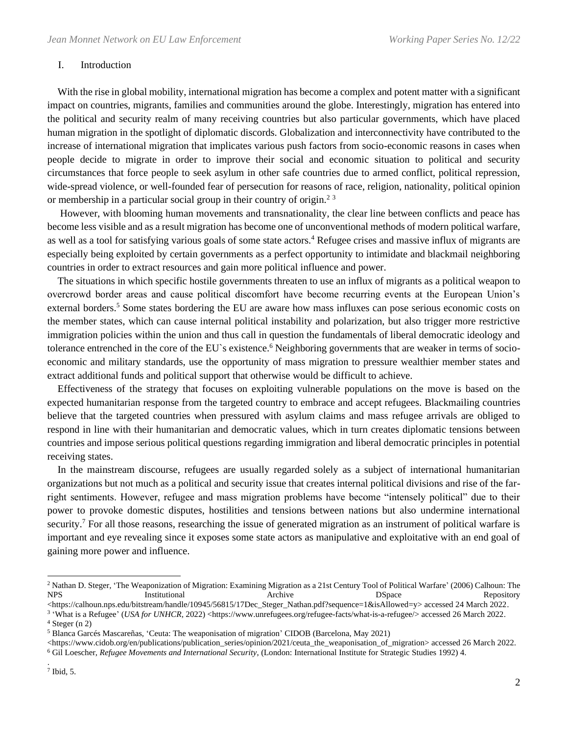#### I. Introduction

 With the rise in global mobility, international migration has become a complex and potent matter with a significant impact on countries, migrants, families and communities around the globe. Interestingly, migration has entered into the political and security realm of many receiving countries but also particular governments, which have placed human migration in the spotlight of diplomatic discords. Globalization and interconnectivity have contributed to the increase of international migration that implicates various push factors from socio-economic reasons in cases when people decide to migrate in order to improve their social and economic situation to political and security circumstances that force people to seek asylum in other safe countries due to armed conflict, political repression, wide-spread violence, or well-founded fear of persecution for reasons of race, religion, nationality, political opinion or membership in a particular social group in their country of origin.<sup>23</sup>

 However, with blooming human movements and transnationality, the clear line between conflicts and peace has become less visible and as a result migration has become one of unconventional methods of modern political warfare, as well as a tool for satisfying various goals of some state actors.<sup>4</sup> Refugee crises and massive influx of migrants are especially being exploited by certain governments as a perfect opportunity to intimidate and blackmail neighboring countries in order to extract resources and gain more political influence and power.

 The situations in which specific hostile governments threaten to use an influx of migrants as a political weapon to overcrowd border areas and cause political discomfort have become recurring events at the European Union's external borders.<sup>5</sup> Some states bordering the EU are aware how mass influxes can pose serious economic costs on the member states, which can cause internal political instability and polarization, but also trigger more restrictive immigration policies within the union and thus call in question the fundamentals of liberal democratic ideology and tolerance entrenched in the core of the EU's existence.<sup>6</sup> Neighboring governments that are weaker in terms of socioeconomic and military standards, use the opportunity of mass migration to pressure wealthier member states and extract additional funds and political support that otherwise would be difficult to achieve.

 Effectiveness of the strategy that focuses on exploiting vulnerable populations on the move is based on the expected humanitarian response from the targeted country to embrace and accept refugees. Blackmailing countries believe that the targeted countries when pressured with asylum claims and mass refugee arrivals are obliged to respond in line with their humanitarian and democratic values, which in turn creates diplomatic tensions between countries and impose serious political questions regarding immigration and liberal democratic principles in potential receiving states.

 In the mainstream discourse, refugees are usually regarded solely as a subject of international humanitarian organizations but not much as a political and security issue that creates internal political divisions and rise of the farright sentiments. However, refugee and mass migration problems have become "intensely political" due to their power to provoke domestic disputes, hostilities and tensions between nations but also undermine international security.<sup>7</sup> For all those reasons, researching the issue of generated migration as an instrument of political warfare is important and eye revealing since it exposes some state actors as manipulative and exploitative with an end goal of gaining more power and influence.

<sup>&</sup>lt;sup>2</sup> Nathan D. Steger, 'The Weaponization of Migration: Examining Migration as a 21st Century Tool of Political Warfare' (2006) Calhoun: The NPS **Institutional** Archive DSpace Repository

<sup>&</sup>lt;https://calhoun.nps.edu/bitstream/handle/10945/56815/17Dec\_Steger\_Nathan.pdf?sequence=1&isAllowed=y> accessed 24 March 2022.

<sup>&</sup>lt;sup>3</sup> 'What is a Refugee' (*USA for UNHCR*, 2022) <https://www.unrefugees.org/refugee-facts/what-is-a-refugee/> accessed 26 March 2022.  $4$  Steger (n 2)

<sup>5</sup> Blanca Garcés Mascareñas, 'Ceuta: The weaponisation of migration' CIDOB (Barcelona, May 2021)

<sup>&</sup>lt;https://www.cidob.org/en/publications/publication\_series/opinion/2021/ceuta\_the\_weaponisation\_of\_migration> accessed 26 March 2022. <sup>6</sup> Gil Loescher, *Refugee Movements and International Security*, (London: International Institute for Strategic Studies 1992) 4.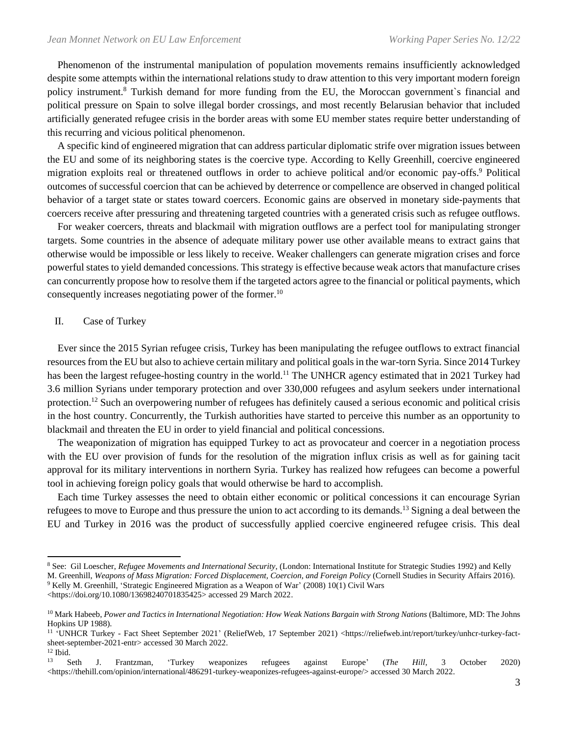Phenomenon of the instrumental manipulation of population movements remains insufficiently acknowledged despite some attempts within the international relations study to draw attention to this very important modern foreign policy instrument.<sup>8</sup> Turkish demand for more funding from the EU, the Moroccan government`s financial and political pressure on Spain to solve illegal border crossings, and most recently Belarusian behavior that included artificially generated refugee crisis in the border areas with some EU member states require better understanding of this recurring and vicious political phenomenon.

 A specific kind of engineered migration that can address particular diplomatic strife over migration issues between the EU and some of its neighboring states is the coercive type. According to Kelly Greenhill, coercive engineered migration exploits real or threatened outflows in order to achieve political and/or economic pay-offs.<sup>9</sup> Political outcomes of successful coercion that can be achieved by deterrence or compellence are observed in changed political behavior of a target state or states toward coercers. Economic gains are observed in monetary side-payments that coercers receive after pressuring and threatening targeted countries with a generated crisis such as refugee outflows.

 For weaker coercers, threats and blackmail with migration outflows are a perfect tool for manipulating stronger targets. Some countries in the absence of adequate military power use other available means to extract gains that otherwise would be impossible or less likely to receive. Weaker challengers can generate migration crises and force powerful states to yield demanded concessions. This strategy is effective because weak actors that manufacture crises can concurrently propose how to resolve them if the targeted actors agree to the financial or political payments, which consequently increases negotiating power of the former.<sup>10</sup>

## II. Case of Turkey

 Ever since the 2015 Syrian refugee crisis, Turkey has been manipulating the refugee outflows to extract financial resources from the EU but also to achieve certain military and political goals in the war-torn Syria. Since 2014 Turkey has been the largest refugee-hosting country in the world.<sup>11</sup> The UNHCR agency estimated that in 2021 Turkey had 3.6 million Syrians under temporary protection and over 330,000 refugees and asylum seekers under international protection.<sup>12</sup> Such an overpowering number of refugees has definitely caused a serious economic and political crisis in the host country. Concurrently, the Turkish authorities have started to perceive this number as an opportunity to blackmail and threaten the EU in order to yield financial and political concessions.

 The weaponization of migration has equipped Turkey to act as provocateur and coercer in a negotiation process with the EU over provision of funds for the resolution of the migration influx crisis as well as for gaining tacit approval for its military interventions in northern Syria. Turkey has realized how refugees can become a powerful tool in achieving foreign policy goals that would otherwise be hard to accomplish.

 Each time Turkey assesses the need to obtain either economic or political concessions it can encourage Syrian refugees to move to Europe and thus pressure the union to act according to its demands.<sup>13</sup> Signing a deal between the EU and Turkey in 2016 was the product of successfully applied coercive engineered refugee crisis. This deal

<sup>9</sup> Kelly M. Greenhill, 'Strategic Engineered Migration as a Weapon of War' (2008) 10(1) Civil Wars

<https://doi.org/10.1080/13698240701835425> accessed 29 March 2022.

<sup>8</sup> See: Gil Loescher, *Refugee Movements and International Security*, (London: International Institute for Strategic Studies 1992) and Kelly M. Greenhill, *Weapons of Mass Migration: Forced Displacement, Coercion, and Foreign Policy* (Cornell Studies in Security Affairs 2016).

<sup>&</sup>lt;sup>10</sup> Mark Habeeb, *Power and Tactics in International Negotiation: How Weak Nations Bargain with Strong Nations (Baltimore, MD: The Johns* Hopkins UP 1988).

<sup>&</sup>lt;sup>11</sup> 'UNHCR Turkey - Fact Sheet September 2021' (ReliefWeb, 17 September 2021) <https://reliefweb.int/report/turkey/unhcr-turkey-factsheet-september-2021-entr> accessed 30 March 2022.

 $\frac{12 \text{ Ibid.}}{13 \text{ g}}$ <sup>13</sup> Seth J. Frantzman, 'Turkey weaponizes refugees against Europe' (*The Hill*, 3 October 2020) <https://thehill.com/opinion/international/486291-turkey-weaponizes-refugees-against-europe/> accessed 30 March 2022.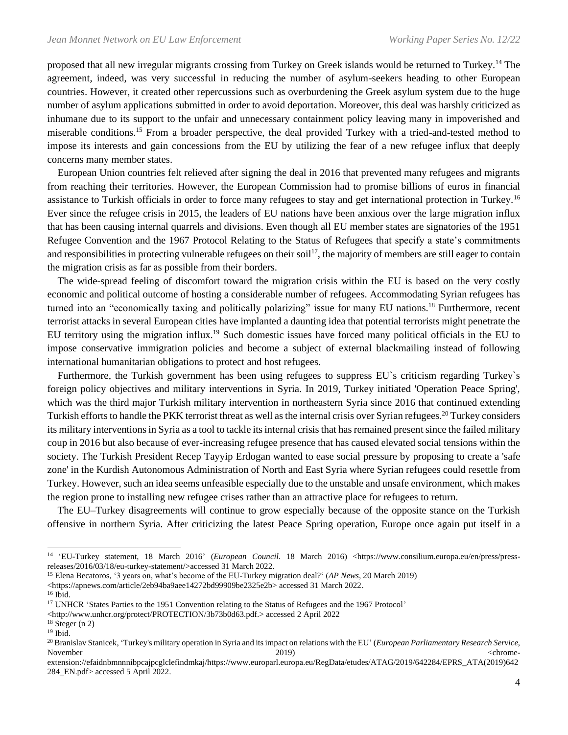proposed that all new irregular migrants crossing from Turkey on Greek islands would be returned to Turkey.<sup>14</sup> The agreement, indeed, was very successful in reducing the number of asylum-seekers heading to other European countries. However, it created other repercussions such as overburdening the Greek asylum system due to the huge number of asylum applications submitted in order to avoid deportation. Moreover, this deal was harshly criticized as inhumane due to its support to the unfair and unnecessary containment policy leaving many in impoverished and miserable conditions.<sup>15</sup> From a broader perspective, the deal provided Turkey with a tried-and-tested method to impose its interests and gain concessions from the EU by utilizing the fear of a new refugee influx that deeply concerns many member states.

 European Union countries felt relieved after signing the deal in 2016 that prevented many refugees and migrants from reaching their territories. However, the European Commission had to promise billions of euros in financial assistance to Turkish officials in order to force many refugees to stay and get international protection in Turkey.<sup>16</sup> Ever since the refugee crisis in 2015, the leaders of EU nations have been anxious over the large migration influx that has been causing internal quarrels and divisions. Even though all EU member states are signatories of the 1951 Refugee Convention and the 1967 Protocol Relating to the Status of Refugees that specify a state's commitments and responsibilities in protecting vulnerable refugees on their soil<sup>17</sup>, the majority of members are still eager to contain the migration crisis as far as possible from their borders.

 The wide-spread feeling of discomfort toward the migration crisis within the EU is based on the very costly economic and political outcome of hosting a considerable number of refugees. Accommodating Syrian refugees has turned into an "economically taxing and politically polarizing" issue for many EU nations.<sup>18</sup> Furthermore, recent terrorist attacks in several European cities have implanted a daunting idea that potential terrorists might penetrate the EU territory using the migration influx.<sup>19</sup> Such domestic issues have forced many political officials in the EU to impose conservative immigration policies and become a subject of external blackmailing instead of following international humanitarian obligations to protect and host refugees.

 Furthermore, the Turkish government has been using refugees to suppress EU`s criticism regarding Turkey`s foreign policy objectives and military interventions in Syria. In 2019, Turkey initiated 'Operation Peace Spring', which was the third major Turkish military intervention in northeastern Syria since 2016 that continued extending Turkish efforts to handle the PKK terrorist threat as well as the internal crisis over Syrian refugees.<sup>20</sup> Turkey considers its military interventions in Syria as a tool to tackle its internal crisis that has remained present since the failed military coup in 2016 but also because of ever-increasing refugee presence that has caused elevated social tensions within the society. The Turkish President Recep Tayyip Erdogan wanted to ease social pressure by proposing to create a 'safe zone' in the Kurdish Autonomous Administration of North and East Syria where Syrian refugees could resettle from Turkey. However, such an idea seems unfeasible especially due to the unstable and unsafe environment, which makes the region prone to installing new refugee crises rather than an attractive place for refugees to return.

 The EU–Turkey disagreements will continue to grow especially because of the opposite stance on the Turkish offensive in northern Syria. After criticizing the latest Peace Spring operation, Europe once again put itself in a

<https://apnews.com/article/2eb94ba9aee14272bd99909be2325e2b> accessed 31 March 2022.

<sup>14</sup> 'EU-Turkey statement, 18 March 2016' (*European Council*. 18 March 2016) <https://www.consilium.europa.eu/en/press/pressreleases/2016/03/18/eu-turkey-statement/>accessed 31 March 2022.

<sup>15</sup> Elena Becatoros, '3 years on, what's become of the EU-Turkey migration deal?' (*AP News*, 20 March 2019)

<sup>16</sup> Ibid.

<sup>&</sup>lt;sup>17</sup> UNHCR 'States Parties to the 1951 Convention relating to the Status of Refugees and the 1967 Protocol'

<sup>&</sup>lt;http://www.unhcr.org/protect/PROTECTION/3b73b0d63.pdf.> accessed 2 April 2022

 $18$  Steger (n 2)

 $19$  Ibid.

<sup>20</sup> Branislav Stanicek, 'Turkey's military operation in Syria and its impact on relations with the EU' (*European Parliamentary Research Service,* November 2019) <chrome-

extension://efaidnbmnnnibpcajpcglclefindmkaj/https://www.europarl.europa.eu/RegData/etudes/ATAG/2019/642284/EPRS\_ATA(2019)642 284\_EN.pdf> accessed 5 April 2022.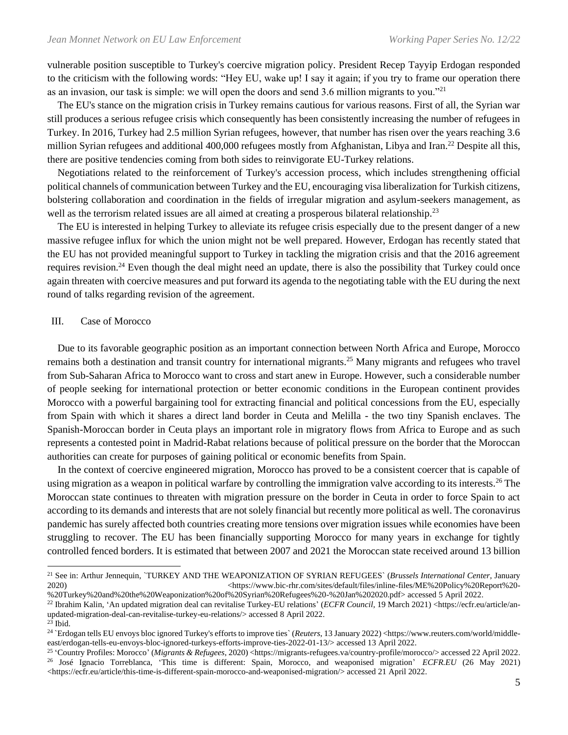vulnerable position susceptible to Turkey's coercive migration policy. President Recep Tayyip Erdogan responded to the criticism with the following words: "Hey EU, wake up! I say it again; if you try to frame our operation there as an invasion, our task is simple: we will open the doors and send 3.6 million migrants to you."<sup>21</sup>

 The EU's stance on the migration crisis in Turkey remains cautious for various reasons. First of all, the Syrian war still produces a serious refugee crisis which consequently has been consistently increasing the number of refugees in Turkey. In 2016, Turkey had 2.5 million Syrian refugees, however, that number has risen over the years reaching 3.6 million Syrian refugees and additional 400,000 refugees mostly from Afghanistan, Libya and Iran.<sup>22</sup> Despite all this, there are positive tendencies coming from both sides to reinvigorate EU-Turkey relations.

 Negotiations related to the reinforcement of Turkey's accession process, which includes strengthening official political channels of communication between Turkey and the EU, encouraging visa liberalization for Turkish citizens, bolstering collaboration and coordination in the fields of irregular migration and asylum-seekers management, as well as the terrorism related issues are all aimed at creating a prosperous bilateral relationship.<sup>23</sup>

 The EU is interested in helping Turkey to alleviate its refugee crisis especially due to the present danger of a new massive refugee influx for which the union might not be well prepared. However, Erdogan has recently stated that the EU has not provided meaningful support to Turkey in tackling the migration crisis and that the 2016 agreement requires revision.<sup>24</sup> Even though the deal might need an update, there is also the possibility that Turkey could once again threaten with coercive measures and put forward its agenda to the negotiating table with the EU during the next round of talks regarding revision of the agreement.

### III. Case of Morocco

 Due to its favorable geographic position as an important connection between North Africa and Europe, Morocco remains both a destination and transit country for international migrants.<sup>25</sup> Many migrants and refugees who travel from Sub-Saharan Africa to Morocco want to cross and start anew in Europe. However, such a considerable number of people seeking for international protection or better economic conditions in the European continent provides Morocco with a powerful bargaining tool for extracting financial and political concessions from the EU, especially from Spain with which it shares a direct land border in Ceuta and Melilla - the two tiny Spanish enclaves. The Spanish-Moroccan border in Ceuta plays an important role in migratory flows from Africa to Europe and as such represents a contested point in Madrid-Rabat relations because of political pressure on the border that the Moroccan authorities can create for purposes of gaining political or economic benefits from Spain.

 In the context of coercive engineered migration, Morocco has proved to be a consistent coercer that is capable of using migration as a weapon in political warfare by controlling the immigration valve according to its interests.<sup>26</sup> The Moroccan state continues to threaten with migration pressure on the border in Ceuta in order to force Spain to act according to its demands and interests that are not solely financial but recently more political as well. The coronavirus pandemic has surely affected both countries creating more tensions over migration issues while economies have been struggling to recover. The EU has been financially supporting Morocco for many years in exchange for tightly controlled fenced borders. It is estimated that between 2007 and 2021 the Moroccan state received around 13 billion

<sup>21</sup> See in: Arthur Jennequin, `TURKEY AND THE WEAPONIZATION OF SYRIAN REFUGEES` (*Brussels International Center*, January 2020) <https://www.bic-rhr.com/sites/default/files/inline-files/ME%20Policy%20Report%20-

<sup>%20</sup>Turkey%20and%20the%20Weaponization%20of%20Syrian%20Refugees%20-%20Jan%202020.pdf> accessed 5 April 2022. <sup>22</sup> Ibrahim Kalin, 'An updated migration deal can revitalise Turkey-EU relations' (*ECFR Council*, 19 March 2021) <https://ecfr.eu/article/an-

updated-migration-deal-can-revitalise-turkey-eu-relations/> accessed 8 April 2022.

 $23$  Ibid.

<sup>&</sup>lt;sup>24</sup> `Erdogan tells EU envoys bloc ignored Turkey's efforts to improve ties` (Reuters, 13 January 2022) <https://www.reuters.com/world/middleeast/erdogan-tells-eu-envoys-bloc-ignored-turkeys-efforts-improve-ties-2022-01-13/> accessed 13 April 2022.

<sup>&</sup>lt;sup>25</sup> 'Country Profiles: Morocco' (*Migrants & Refugees*, 2020) <https://migrants-refugees.va/country-profile/morocco/> accessed 22 April 2022. <sup>26</sup> José Ignacio Torreblanca, 'This time is different: Spain, Morocco, and weaponised migration' *ECFR.EU* (26 May 2021) <https://ecfr.eu/article/this-time-is-different-spain-morocco-and-weaponised-migration/> accessed 21 April 2022.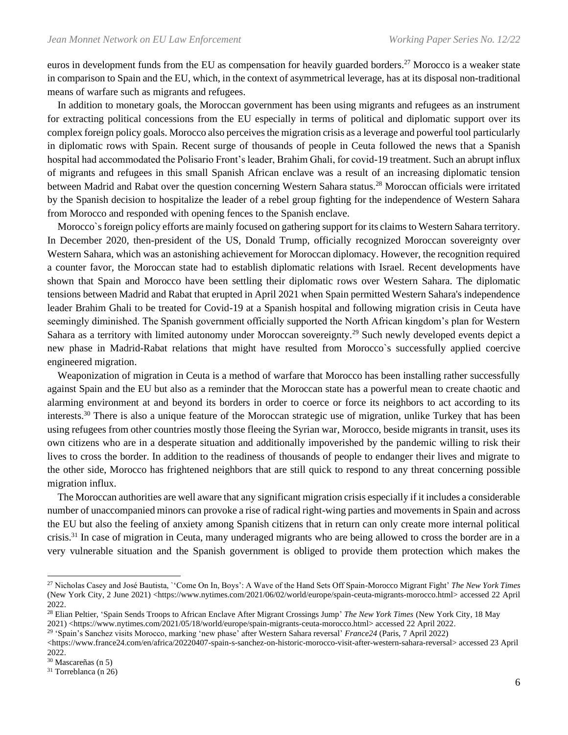euros in development funds from the EU as compensation for heavily guarded borders.<sup>27</sup> Morocco is a weaker state in comparison to Spain and the EU, which, in the context of asymmetrical leverage, has at its disposal non-traditional means of warfare such as migrants and refugees.

 In addition to monetary goals, the Moroccan government has been using migrants and refugees as an instrument for extracting political concessions from the EU especially in terms of political and diplomatic support over its complex foreign policy goals. Morocco also perceives the migration crisis as a leverage and powerful tool particularly in diplomatic rows with Spain. Recent surge of thousands of people in Ceuta followed the news that a Spanish hospital had accommodated the Polisario Front's leader, Brahim Ghali, for covid-19 treatment. Such an abrupt influx of migrants and refugees in this small Spanish African enclave was a result of an increasing diplomatic tension between Madrid and Rabat over the question concerning Western Sahara status.<sup>28</sup> Moroccan officials were irritated by the Spanish decision to hospitalize the leader of a rebel group fighting for the independence of Western Sahara from Morocco and responded with opening fences to the Spanish enclave.

 Morocco`s foreign policy efforts are mainly focused on gathering support for its claims to Western Sahara territory. In December 2020, then-president of the US, Donald Trump, officially recognized Moroccan sovereignty over Western Sahara, which was an astonishing achievement for Moroccan diplomacy. However, the recognition required a counter favor, the Moroccan state had to establish diplomatic relations with Israel. Recent developments have shown that Spain and Morocco have been settling their diplomatic rows over Western Sahara. The diplomatic tensions between Madrid and Rabat that erupted in April 2021 when Spain permitted Western Sahara's independence leader Brahim Ghali to be treated for Covid-19 at a Spanish hospital and following migration crisis in Ceuta have seemingly diminished. The Spanish government officially supported the North African kingdom's plan for Western Sahara as a territory with limited autonomy under Moroccan sovereignty.<sup>29</sup> Such newly developed events depict a new phase in Madrid-Rabat relations that might have resulted from Morocco`s successfully applied coercive engineered migration.

 Weaponization of migration in Ceuta is a method of warfare that Morocco has been installing rather successfully against Spain and the EU but also as a reminder that the Moroccan state has a powerful mean to create chaotic and alarming environment at and beyond its borders in order to coerce or force its neighbors to act according to its interests.<sup>30</sup> There is also a unique feature of the Moroccan strategic use of migration, unlike Turkey that has been using refugees from other countries mostly those fleeing the Syrian war, Morocco, beside migrants in transit, uses its own citizens who are in a desperate situation and additionally impoverished by the pandemic willing to risk their lives to cross the border. In addition to the readiness of thousands of people to endanger their lives and migrate to the other side, Morocco has frightened neighbors that are still quick to respond to any threat concerning possible migration influx.

 The Moroccan authorities are well aware that any significant migration crisis especially if it includes a considerable number of unaccompanied minors can provoke a rise of radical right-wing parties and movements in Spain and across the EU but also the feeling of anxiety among Spanish citizens that in return can only create more internal political crisis.<sup>31</sup> In case of migration in Ceuta, many underaged migrants who are being allowed to cross the border are in a very vulnerable situation and the Spanish government is obliged to provide them protection which makes the

29 'Spain's Sanchez visits Morocco, marking 'new phase' after Western Sahara reversal' *France24* (Paris, 7 April 2022)

<sup>27</sup> Nicholas Casey and José Bautista, `'Come On In, Boys': A Wave of the Hand Sets Off Spain-Morocco Migrant Fight' *The New York Times* (New York City, 2 June 2021) <https://www.nytimes.com/2021/06/02/world/europe/spain-ceuta-migrants-morocco.html> accessed 22 April 2022.

<sup>28</sup> Elian Peltier, 'Spain Sends Troops to African Enclave After Migrant Crossings Jump' *The New York Times* (New York City, 18 May 2021) <https://www.nytimes.com/2021/05/18/world/europe/spain-migrants-ceuta-morocco.html> accessed 22 April 2022.

<sup>&</sup>lt;https://www.france24.com/en/africa/20220407-spain-s-sanchez-on-historic-morocco-visit-after-western-sahara-reversal> accessed 23 April 2022.

<sup>30</sup> Mascareñas (n 5)

<sup>31</sup> Torreblanca (n 26)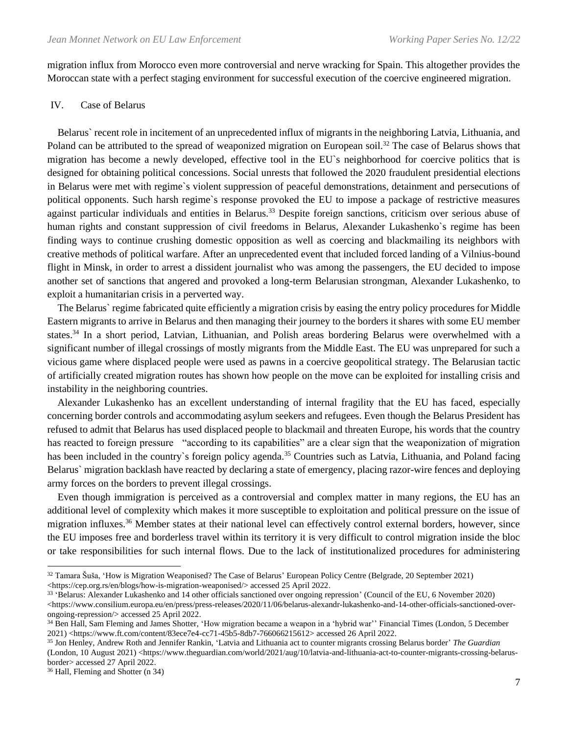migration influx from Morocco even more controversial and nerve wracking for Spain. This altogether provides the Moroccan state with a perfect staging environment for successful execution of the coercive engineered migration.

#### IV. Case of Belarus

 Belarus` recent role in incitement of an unprecedented influx of migrants in the neighboring Latvia, Lithuania, and Poland can be attributed to the spread of weaponized migration on European soil.<sup>32</sup> The case of Belarus shows that migration has become a newly developed, effective tool in the EU`s neighborhood for coercive politics that is designed for obtaining political concessions. Social unrests that followed the 2020 fraudulent presidential elections in Belarus were met with regime`s violent suppression of peaceful demonstrations, detainment and persecutions of political opponents. Such harsh regime`s response provoked the EU to impose a package of restrictive measures against particular individuals and entities in Belarus.<sup>33</sup> Despite foreign sanctions, criticism over serious abuse of human rights and constant suppression of civil freedoms in Belarus, Alexander Lukashenko`s regime has been finding ways to continue crushing domestic opposition as well as coercing and blackmailing its neighbors with creative methods of political warfare. After an unprecedented event that included forced landing of a Vilnius-bound flight in Minsk, in order to arrest a dissident journalist who was among the passengers, the EU decided to impose another set of sanctions that angered and provoked a long-term Belarusian strongman, Alexander Lukashenko, to exploit a humanitarian crisis in a perverted way.

 The Belarus` regime fabricated quite efficiently a migration crisis by easing the entry policy procedures for Middle Eastern migrants to arrive in Belarus and then managing their journey to the borders it shares with some EU member states.<sup>34</sup> In a short period, Latvian, Lithuanian, and Polish areas bordering Belarus were overwhelmed with a significant number of illegal crossings of mostly migrants from the Middle East. The EU was unprepared for such a vicious game where displaced people were used as pawns in a coercive geopolitical strategy. The Belarusian tactic of artificially created migration routes has shown how people on the move can be exploited for installing crisis and instability in the neighboring countries.

 Alexander Lukashenko has an excellent understanding of internal fragility that the EU has faced, especially concerning border controls and accommodating asylum seekers and refugees. Even though the Belarus President has refused to admit that Belarus has used displaced people to blackmail and threaten Europe, his words that the country has reacted to foreign pressure "according to its capabilities" are a clear sign that the weaponization of migration has been included in the country's foreign policy agenda.<sup>35</sup> Countries such as Latvia, Lithuania, and Poland facing Belarus` migration backlash have reacted by declaring a state of emergency, placing razor-wire fences and deploying army forces on the borders to prevent illegal crossings.

 Even though immigration is perceived as a controversial and complex matter in many regions, the EU has an additional level of complexity which makes it more susceptible to exploitation and political pressure on the issue of migration influxes.<sup>36</sup> Member states at their national level can effectively control external borders, however, since the EU imposes free and borderless travel within its territory it is very difficult to control migration inside the bloc or take responsibilities for such internal flows. Due to the lack of institutionalized procedures for administering

<sup>36</sup> Hall, Fleming and Shotter (n 34)

 $32$  Tamara Šuša, 'How is Migration Weaponised? The Case of Belarus' European Policy Centre (Belgrade, 20 September 2021) <https://cep.org.rs/en/blogs/how-is-migration-weaponised/> accessed 25 April 2022.

<sup>33</sup> 'Belarus: Alexander Lukashenko and 14 other officials sanctioned over ongoing repression' (Council of the EU, 6 November 2020)  $\lt$ https://www.consilium.europa.eu/en/press/press-releases/2020/11/06/belarus-alexandr-lukashenko-and-14-other-officials-sanctioned-overongoing-repression/> accessed 25 April 2022.

<sup>34</sup> Ben Hall, Sam Fleming and James Shotter, 'How migration became a weapon in a 'hybrid war'' Financial Times (London, 5 December 2021) <https://www.ft.com/content/83ece7e4-cc71-45b5-8db7-766066215612> accessed 26 April 2022.

<sup>35</sup> Jon Henley, Andrew Roth and Jennifer Rankin, 'Latvia and Lithuania act to counter migrants crossing Belarus border' *The Guardian* (London, 10 August 2021) <https://www.theguardian.com/world/2021/aug/10/latvia-and-lithuania-act-to-counter-migrants-crossing-belarusborder> accessed 27 April 2022.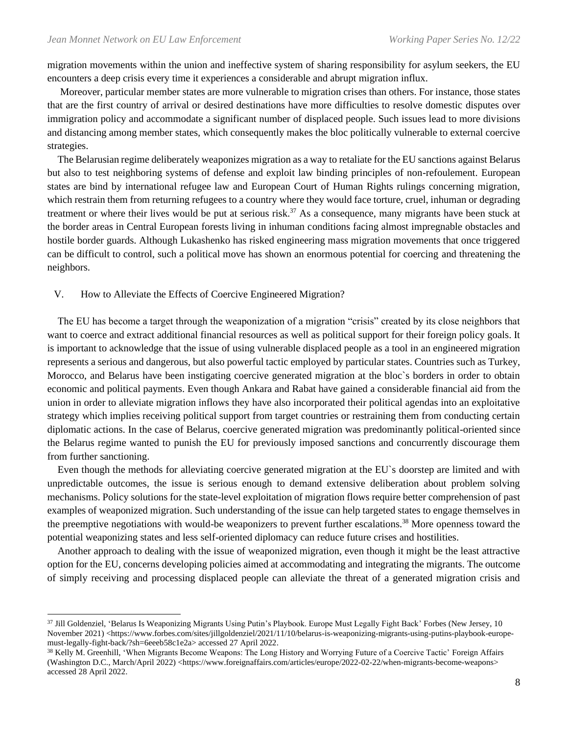migration movements within the union and ineffective system of sharing responsibility for asylum seekers, the EU encounters a deep crisis every time it experiences a considerable and abrupt migration influx.

 Moreover, particular member states are more vulnerable to migration crises than others. For instance, those states that are the first country of arrival or desired destinations have more difficulties to resolve domestic disputes over immigration policy and accommodate a significant number of displaced people. Such issues lead to more divisions and distancing among member states, which consequently makes the bloc politically vulnerable to external coercive strategies.

 The Belarusian regime deliberately weaponizes migration as a way to retaliate for the EU sanctions against Belarus but also to test neighboring systems of defense and exploit law binding principles of non-refoulement. European states are bind by international refugee law and European Court of Human Rights rulings concerning migration, which restrain them from returning refugees to a country where they would face torture, cruel, inhuman or degrading treatment or where their lives would be put at serious risk.<sup>37</sup> As a consequence, many migrants have been stuck at the border areas in Central European forests living in inhuman conditions facing almost impregnable obstacles and hostile border guards. Although Lukashenko has risked engineering mass migration movements that once triggered can be difficult to control, such a political move has shown an enormous potential for coercing and threatening the neighbors.

#### V. How to Alleviate the Effects of Coercive Engineered Migration?

 The EU has become a target through the weaponization of a migration "crisis" created by its close neighbors that want to coerce and extract additional financial resources as well as political support for their foreign policy goals. It is important to acknowledge that the issue of using vulnerable displaced people as a tool in an engineered migration represents a serious and dangerous, but also powerful tactic employed by particular states. Countries such as Turkey, Morocco, and Belarus have been instigating coercive generated migration at the bloc`s borders in order to obtain economic and political payments. Even though Ankara and Rabat have gained a considerable financial aid from the union in order to alleviate migration inflows they have also incorporated their political agendas into an exploitative strategy which implies receiving political support from target countries or restraining them from conducting certain diplomatic actions. In the case of Belarus, coercive generated migration was predominantly political-oriented since the Belarus regime wanted to punish the EU for previously imposed sanctions and concurrently discourage them from further sanctioning.

 Even though the methods for alleviating coercive generated migration at the EU`s doorstep are limited and with unpredictable outcomes, the issue is serious enough to demand extensive deliberation about problem solving mechanisms. Policy solutions for the state-level exploitation of migration flows require better comprehension of past examples of weaponized migration. Such understanding of the issue can help targeted states to engage themselves in the preemptive negotiations with would-be weaponizers to prevent further escalations.<sup>38</sup> More openness toward the potential weaponizing states and less self-oriented diplomacy can reduce future crises and hostilities.

 Another approach to dealing with the issue of weaponized migration, even though it might be the least attractive option for the EU, concerns developing policies aimed at accommodating and integrating the migrants. The outcome of simply receiving and processing displaced people can alleviate the threat of a generated migration crisis and

<sup>37</sup> Jill Goldenziel, 'Belarus Is Weaponizing Migrants Using Putin's Playbook. Europe Must Legally Fight Back' Forbes (New Jersey, 10 November 2021) <https://www.forbes.com/sites/jillgoldenziel/2021/11/10/belarus-is-weaponizing-migrants-using-putins-playbook-europemust-legally-fight-back/?sh=6eeeb58c1e2a> accessed 27 April 2022.

<sup>&</sup>lt;sup>38</sup> Kelly M. Greenhill, 'When Migrants Become Weapons: The Long History and Worrying Future of a Coercive Tactic' Foreign Affairs (Washington D.C., March/April 2022) <https://www.foreignaffairs.com/articles/europe/2022-02-22/when-migrants-become-weapons> accessed 28 April 2022.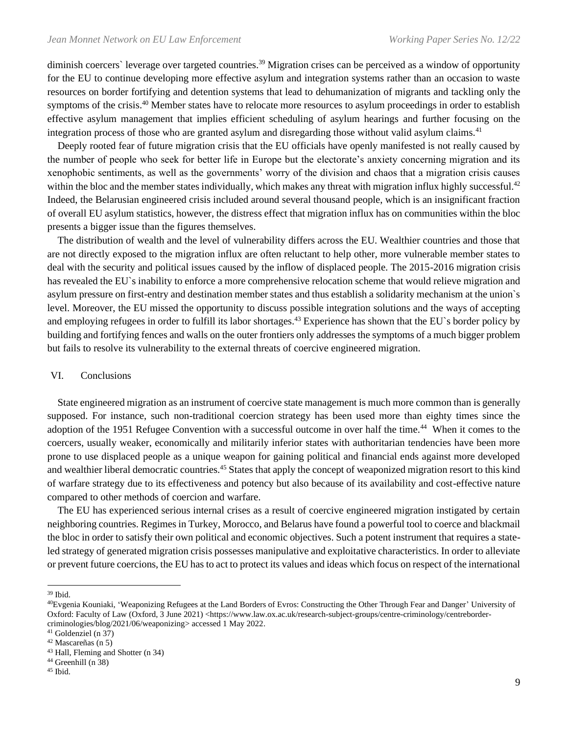diminish coercers` leverage over targeted countries.<sup>39</sup> Migration crises can be perceived as a window of opportunity for the EU to continue developing more effective asylum and integration systems rather than an occasion to waste resources on border fortifying and detention systems that lead to dehumanization of migrants and tackling only the symptoms of the crisis.<sup>40</sup> Member states have to relocate more resources to asylum proceedings in order to establish effective asylum management that implies efficient scheduling of asylum hearings and further focusing on the integration process of those who are granted asylum and disregarding those without valid asylum claims.<sup>41</sup>

 Deeply rooted fear of future migration crisis that the EU officials have openly manifested is not really caused by the number of people who seek for better life in Europe but the electorate's anxiety concerning migration and its xenophobic sentiments, as well as the governments' worry of the division and chaos that a migration crisis causes within the bloc and the member states individually, which makes any threat with migration influx highly successful.<sup>42</sup> Indeed, the Belarusian engineered crisis included around several thousand people, which is an insignificant fraction of overall EU asylum statistics, however, the distress effect that migration influx has on communities within the bloc presents a bigger issue than the figures themselves.

 The distribution of wealth and the level of vulnerability differs across the EU. Wealthier countries and those that are not directly exposed to the migration influx are often reluctant to help other, more vulnerable member states to deal with the security and political issues caused by the inflow of displaced people. The 2015-2016 migration crisis has revealed the EU`s inability to enforce a more comprehensive relocation scheme that would relieve migration and asylum pressure on first-entry and destination member states and thus establish a solidarity mechanism at the union`s level. Moreover, the EU missed the opportunity to discuss possible integration solutions and the ways of accepting and employing refugees in order to fulfill its labor shortages.<sup>43</sup> Experience has shown that the EU`s border policy by building and fortifying fences and walls on the outer frontiers only addresses the symptoms of a much bigger problem but fails to resolve its vulnerability to the external threats of coercive engineered migration.

#### VI. Conclusions

 State engineered migration as an instrument of coercive state management is much more common than is generally supposed. For instance, such non-traditional coercion strategy has been used more than eighty times since the adoption of the 1951 Refugee Convention with a successful outcome in over half the time.<sup>44</sup> When it comes to the coercers, usually weaker, economically and militarily inferior states with authoritarian tendencies have been more prone to use displaced people as a unique weapon for gaining political and financial ends against more developed and wealthier liberal democratic countries.<sup>45</sup> States that apply the concept of weaponized migration resort to this kind of warfare strategy due to its effectiveness and potency but also because of its availability and cost-effective nature compared to other methods of coercion and warfare.

 The EU has experienced serious internal crises as a result of coercive engineered migration instigated by certain neighboring countries. Regimes in Turkey, Morocco, and Belarus have found a powerful tool to coerce and blackmail the bloc in order to satisfy their own political and economic objectives. Such a potent instrument that requires a stateled strategy of generated migration crisis possesses manipulative and exploitative characteristics. In order to alleviate or prevent future coercions, the EU has to act to protect its values and ideas which focus on respect of the international

<sup>39</sup> Ibid.

<sup>40</sup>Evgenia Kouniaki, 'Weaponizing Refugees at the Land Borders of Evros: Constructing the Other Through Fear and Danger' University of Oxford: Faculty of Law (Oxford, 3 June 2021) <https://www.law.ox.ac.uk/research-subject-groups/centre-criminology/centrebordercriminologies/blog/2021/06/weaponizing> accessed 1 May 2022.

<sup>41</sup> Goldenziel (n 37)

<sup>42</sup> Mascareñas (n 5)

<sup>43</sup> Hall, Fleming and Shotter (n 34) <sup>44</sup> Greenhill (n 38)

<sup>45</sup> Ibid.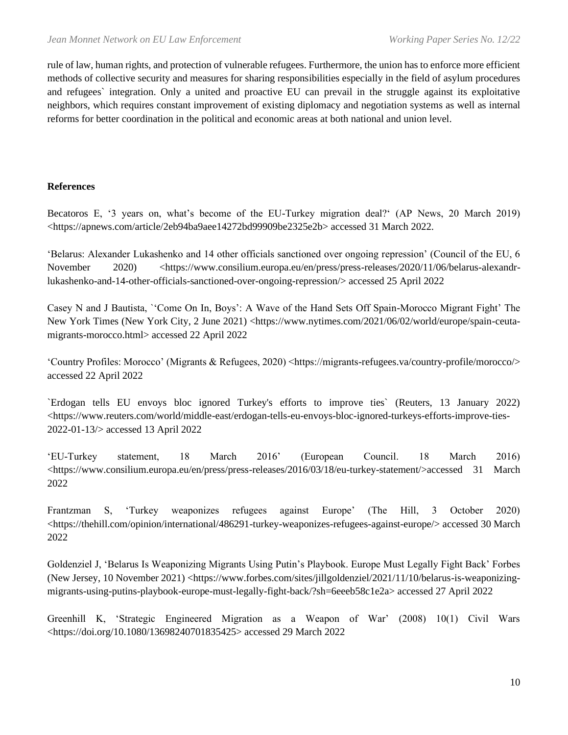rule of law, human rights, and protection of vulnerable refugees. Furthermore, the union has to enforce more efficient methods of collective security and measures for sharing responsibilities especially in the field of asylum procedures and refugees` integration. Only a united and proactive EU can prevail in the struggle against its exploitative neighbors, which requires constant improvement of existing diplomacy and negotiation systems as well as internal reforms for better coordination in the political and economic areas at both national and union level.

# **References**

Becatoros E, '3 years on, what's become of the EU-Turkey migration deal?' (AP News, 20 March 2019) <https://apnews.com/article/2eb94ba9aee14272bd99909be2325e2b> accessed 31 March 2022.

'Belarus: Alexander Lukashenko and 14 other officials sanctioned over ongoing repression' (Council of the EU, 6 November 2020) <https://www.consilium.europa.eu/en/press/press-releases/2020/11/06/belarus-alexandrlukashenko-and-14-other-officials-sanctioned-over-ongoing-repression/> accessed 25 April 2022

Casey N and J Bautista, `'Come On In, Boys': A Wave of the Hand Sets Off Spain-Morocco Migrant Fight' The New York Times (New York City, 2 June 2021) <https://www.nytimes.com/2021/06/02/world/europe/spain-ceutamigrants-morocco.html> accessed 22 April 2022

'Country Profiles: Morocco' (Migrants & Refugees, 2020) <https://migrants-refugees.va/country-profile/morocco/> accessed 22 April 2022

`Erdogan tells EU envoys bloc ignored Turkey's efforts to improve ties` (Reuters, 13 January 2022) <https://www.reuters.com/world/middle-east/erdogan-tells-eu-envoys-bloc-ignored-turkeys-efforts-improve-ties-2022-01-13/> accessed 13 April 2022

'EU-Turkey statement, 18 March 2016' (European Council. 18 March 2016) <https://www.consilium.europa.eu/en/press/press-releases/2016/03/18/eu-turkey-statement/>accessed 31 March 2022

Frantzman S, 'Turkey weaponizes refugees against Europe' (The Hill, 3 October 2020) <https://thehill.com/opinion/international/486291-turkey-weaponizes-refugees-against-europe/> accessed 30 March 2022

Goldenziel J, 'Belarus Is Weaponizing Migrants Using Putin's Playbook. Europe Must Legally Fight Back' Forbes (New Jersey, 10 November 2021) <https://www.forbes.com/sites/jillgoldenziel/2021/11/10/belarus-is-weaponizingmigrants-using-putins-playbook-europe-must-legally-fight-back/?sh=6eeeb58c1e2a> accessed 27 April 2022

Greenhill K, 'Strategic Engineered Migration as a Weapon of War' (2008) 10(1) Civil Wars <https://doi.org/10.1080/13698240701835425> accessed 29 March 2022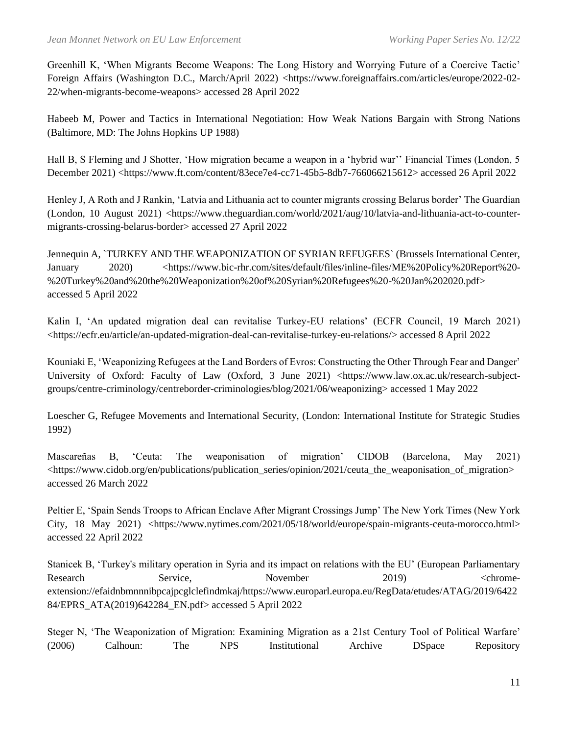Greenhill K, 'When Migrants Become Weapons: The Long History and Worrying Future of a Coercive Tactic' Foreign Affairs (Washington D.C., March/April 2022) <https://www.foreignaffairs.com/articles/europe/2022-02- 22/when-migrants-become-weapons> accessed 28 April 2022

Habeeb M, Power and Tactics in International Negotiation: How Weak Nations Bargain with Strong Nations (Baltimore, MD: The Johns Hopkins UP 1988)

Hall B, S Fleming and J Shotter, 'How migration became a weapon in a 'hybrid war'' Financial Times (London, 5 December 2021) <https://www.ft.com/content/83ece7e4-cc71-45b5-8db7-766066215612> accessed 26 April 2022

Henley J, A Roth and J Rankin, 'Latvia and Lithuania act to counter migrants crossing Belarus border' The Guardian (London, 10 August 2021) <https://www.theguardian.com/world/2021/aug/10/latvia-and-lithuania-act-to-countermigrants-crossing-belarus-border> accessed 27 April 2022

Jennequin A, `TURKEY AND THE WEAPONIZATION OF SYRIAN REFUGEES` (Brussels International Center, January 2020) <https://www.bic-rhr.com/sites/default/files/inline-files/ME%20Policy%20Report%20-%20Turkey%20and%20the%20Weaponization%20of%20Syrian%20Refugees%20-%20Jan%202020.pdf> accessed 5 April 2022

Kalin I, 'An updated migration deal can revitalise Turkey-EU relations' (ECFR Council, 19 March 2021) <https://ecfr.eu/article/an-updated-migration-deal-can-revitalise-turkey-eu-relations/> accessed 8 April 2022

Kouniaki E, 'Weaponizing Refugees at the Land Borders of Evros: Constructing the Other Through Fear and Danger' University of Oxford: Faculty of Law (Oxford, 3 June 2021) <https://www.law.ox.ac.uk/research-subjectgroups/centre-criminology/centreborder-criminologies/blog/2021/06/weaponizing> accessed 1 May 2022

Loescher G, Refugee Movements and International Security, (London: International Institute for Strategic Studies 1992)

Mascareñas B, 'Ceuta: The weaponisation of migration' CIDOB (Barcelona, May 2021) <https://www.cidob.org/en/publications/publication\_series/opinion/2021/ceuta\_the\_weaponisation\_of\_migration> accessed 26 March 2022

Peltier E, 'Spain Sends Troops to African Enclave After Migrant Crossings Jump' The New York Times (New York City, 18 May 2021) <https://www.nytimes.com/2021/05/18/world/europe/spain-migrants-ceuta-morocco.html> accessed 22 April 2022

Stanicek B, 'Turkey's military operation in Syria and its impact on relations with the EU' (European Parliamentary Research Service, November 2019) <chromeextension://efaidnbmnnnibpcajpcglclefindmkaj/https://www.europarl.europa.eu/RegData/etudes/ATAG/2019/6422 84/EPRS\_ATA(2019)642284\_EN.pdf> accessed 5 April 2022

Steger N, 'The Weaponization of Migration: Examining Migration as a 21st Century Tool of Political Warfare' (2006) Calhoun: The NPS Institutional Archive DSpace Repository